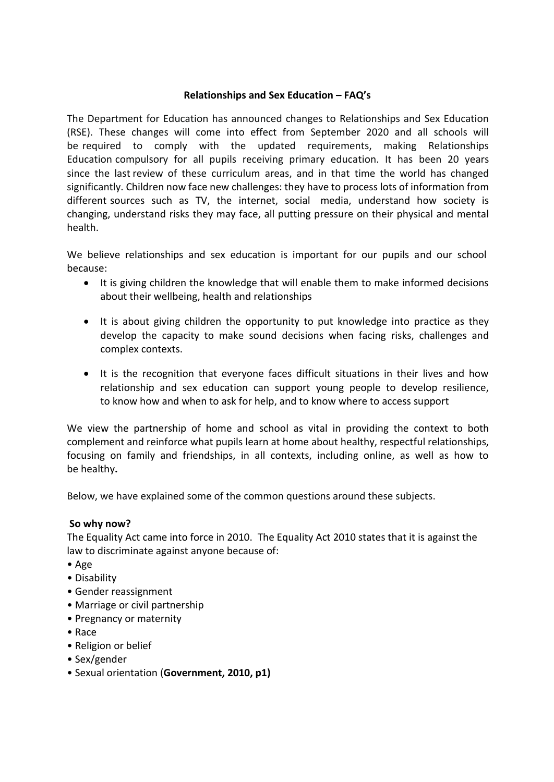### **Relationships and Sex Education – FAQ's**

The Department for Education has announced changes to Relationships and Sex Education (RSE). These changes will come into effect from September 2020 and all schools will be required to comply with the updated requirements, making Relationships Education compulsory for all pupils receiving primary education. It has been 20 years since the last review of these curriculum areas, and in that time the world has changed significantly. Children now face new challenges: they have to process lots of information from different sources such as TV, the internet, social media, understand how society is changing, understand risks they may face, all putting pressure on their physical and mental health.

We believe relationships and sex education is important for our pupils and our school because:

- It is giving children the knowledge that will enable them to make informed decisions about their wellbeing, health and relationships
- It is about giving children the opportunity to put knowledge into practice as they develop the capacity to make sound decisions when facing risks, challenges and complex contexts.
- It is the recognition that everyone faces difficult situations in their lives and how relationship and sex education can support young people to develop resilience, to know how and when to ask for help, and to know where to access support

We view the partnership of home and school as vital in providing the context to both complement and reinforce what pupils learn at home about healthy, respectful relationships, focusing on family and friendships, in all contexts, including online, as well as how to be healthy**.**

Below, we have explained some of the common questions around these subjects.

#### **So why now?**

The Equality Act came into force in 2010. The Equality Act 2010 states that it is against the law to discriminate against anyone because of:

- Age
- Disability
- Gender reassignment
- Marriage or civil partnership
- Pregnancy or maternity
- Race
- Religion or belief
- Sex/gender
- Sexual orientation (**Government, 2010, p1)**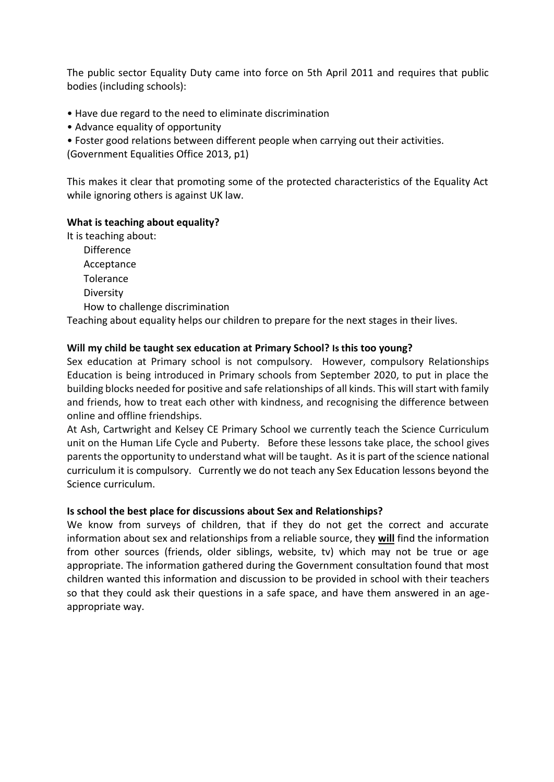The public sector Equality Duty came into force on 5th April 2011 and requires that public bodies (including schools):

- Have due regard to the need to eliminate discrimination
- Advance equality of opportunity
- Foster good relations between different people when carrying out their activities.

(Government Equalities Office 2013, p1)

This makes it clear that promoting some of the protected characteristics of the Equality Act while ignoring others is against UK law.

#### **What is teaching about equality?**

It is teaching about:

Difference Acceptance **Tolerance Diversity** How to challenge discrimination

Teaching about equality helps our children to prepare for the next stages in their lives.

### **Will my child be taught sex education at Primary School? Is this too young?**

Sex education at Primary school is not compulsory. However, compulsory Relationships Education is being introduced in Primary schools from September 2020, to put in place the building blocks needed for positive and safe relationships of all kinds. This will start with family and friends, how to treat each other with kindness, and recognising the difference between online and offline friendships.

At Ash, Cartwright and Kelsey CE Primary School we currently teach the Science Curriculum unit on the Human Life Cycle and Puberty. Before these lessons take place, the school gives parents the opportunity to understand what will be taught. As it is part of the science national curriculum it is compulsory. Currently we do not teach any Sex Education lessons beyond the Science curriculum.

## **Is school the best place for discussions about Sex and Relationships?**

We know from surveys of children, that if they do not get the correct and accurate information about sex and relationships from a reliable source, they **will** find the information from other sources (friends, older siblings, website, tv) which may not be true or age appropriate. The information gathered during the Government consultation found that most children wanted this information and discussion to be provided in school with their teachers so that they could ask their questions in a safe space, and have them answered in an ageappropriate way.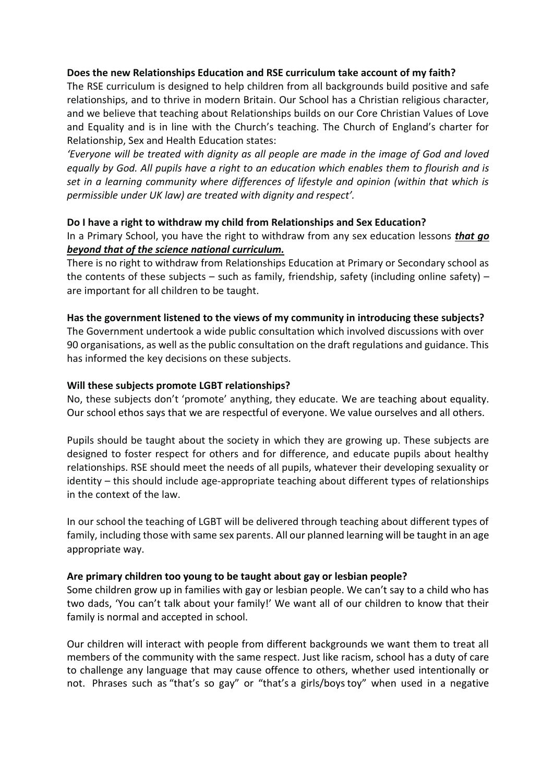#### **Does the new Relationships Education and RSE curriculum take account of my faith?**

The RSE curriculum is designed to help children from all backgrounds build positive and safe relationships, and to thrive in modern Britain. Our School has a Christian religious character, and we believe that teaching about Relationships builds on our Core Christian Values of Love and Equality and is in line with the Church's teaching. The Church of England's charter for Relationship, Sex and Health Education states:

*'Everyone will be treated with dignity as all people are made in the image of God and loved equally by God. All pupils have a right to an education which enables them to flourish and is set in a learning community where differences of lifestyle and opinion (within that which is permissible under UK law) are treated with dignity and respect'.*

## **Do I have a right to withdraw my child from Relationships and Sex Education?**

In a Primary School, you have the right to withdraw from any sex education lessons *that go beyond that of the science national curriculum.*

There is no right to withdraw from Relationships Education at Primary or Secondary school as the contents of these subjects – such as family, friendship, safety (including online safety) – are important for all children to be taught.

### **Has the government listened to the views of my community in introducing these subjects?**

The Government undertook a wide public consultation which involved discussions with over 90 organisations, as well as the public consultation on the draft regulations and guidance. This has informed the key decisions on these subjects.

### **Will these subjects promote LGBT relationships?**

No, these subjects don't 'promote' anything, they educate. We are teaching about equality. Our school ethos says that we are respectful of everyone. We value ourselves and all others.

Pupils should be taught about the society in which they are growing up. These subjects are designed to foster respect for others and for difference, and educate pupils about healthy relationships. RSE should meet the needs of all pupils, whatever their developing sexuality or identity – this should include age-appropriate teaching about different types of relationships in the context of the law.

In our school the teaching of LGBT will be delivered through teaching about different types of family, including those with same sex parents. All our planned learning will be taught in an age appropriate way.

## **Are primary children too young to be taught about gay or lesbian people?**

Some children grow up in families with gay or lesbian people. We can't say to a child who has two dads, 'You can't talk about your family!' We want all of our children to know that their family is normal and accepted in school.

Our children will interact with people from different backgrounds we want them to treat all members of the community with the same respect. Just like racism, school has a duty of care to challenge any language that may cause offence to others, whether used intentionally or not. Phrases such as "that's so gay" or "that's a girls/boys toy" when used in a negative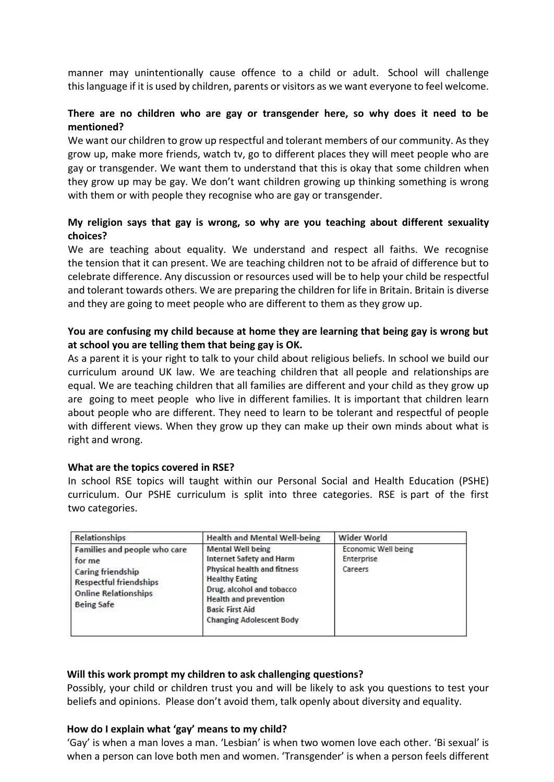manner may unintentionally cause offence to a child or adult. School will challenge this language if it is used by children, parents or visitors as we want everyone to feel welcome.

## **There are no children who are gay or transgender here, so why does it need to be mentioned?**

We want our children to grow up respectful and tolerant members of our community. As they grow up, make more friends, watch tv, go to different places they will meet people who are gay or transgender. We want them to understand that this is okay that some children when they grow up may be gay. We don't want children growing up thinking something is wrong with them or with people they recognise who are gay or transgender.

## **My religion says that gay is wrong, so why are you teaching about different sexuality choices?**

We are teaching about equality. We understand and respect all faiths. We recognise the tension that it can present. We are teaching children not to be afraid of difference but to celebrate difference. Any discussion or resources used will be to help your child be respectful and tolerant towards others. We are preparing the children for life in Britain. Britain is diverse and they are going to meet people who are different to them as they grow up.

## **You are confusing my child because at home they are learning that being gay is wrong but at school you are telling them that being gay is OK.**

As a parent it is your right to talk to your child about religious beliefs. In school we build our curriculum around UK law. We are teaching children that all people and relationships are equal. We are teaching children that all families are different and your child as they grow up are going to meet people who live in different families. It is important that children learn about people who are different. They need to learn to be tolerant and respectful of people with different views. When they grow up they can make up their own minds about what is right and wrong.

#### **What are the topics covered in RSE?**

In school RSE topics will taught within our Personal Social and Health Education (PSHE) curriculum. Our PSHE curriculum is split into three categories. RSE is part of the first two categories.

| <b>Relationships</b>                                                                                                                                    | <b>Health and Mental Well-being</b>                                                                                                                                                                                                                  | Wider World                                  |
|---------------------------------------------------------------------------------------------------------------------------------------------------------|------------------------------------------------------------------------------------------------------------------------------------------------------------------------------------------------------------------------------------------------------|----------------------------------------------|
| Families and people who care<br>for me<br><b>Caring friendship</b><br><b>Respectful friendships</b><br><b>Online Relationships</b><br><b>Being Safe</b> | <b>Mental Well being</b><br><b>Internet Safety and Harm</b><br><b>Physical health and fitness</b><br><b>Healthy Eating</b><br>Drug, alcohol and tobacco<br><b>Health and prevention</b><br><b>Basic First Aid</b><br><b>Changing Adolescent Body</b> | Economic Well being<br>Enterprise<br>Careers |

#### **Will this work prompt my children to ask challenging questions?**

Possibly, your child or children trust you and will be likely to ask you questions to test your beliefs and opinions. Please don't avoid them, talk openly about diversity and equality.

#### **How do I explain what 'gay' means to my child?**

'Gay' is when a man loves a man. 'Lesbian' is when two women love each other. 'Bi sexual' is when a person can love both men and women. 'Transgender' is when a person feels different